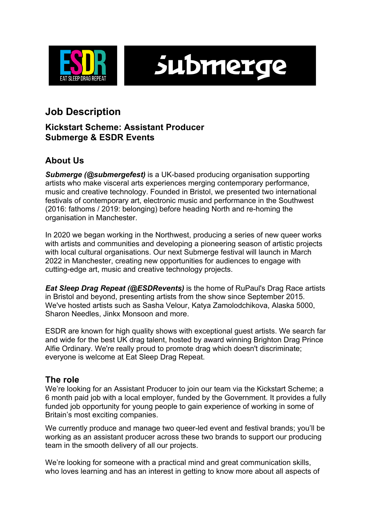

submerge

# **Job Description**

### **Kickstart Scheme: Assistant Producer Submerge & ESDR Events**

# **About Us**

*Submerge (@submergefest)* is a UK-based producing organisation supporting artists who make visceral arts experiences merging contemporary performance, music and creative technology. Founded in Bristol, we presented two international festivals of contemporary art, electronic music and performance in the Southwest (2016: fathoms / 2019: belonging) before heading North and re-homing the organisation in Manchester.

In 2020 we began working in the Northwest, producing a series of new queer works with artists and communities and developing a pioneering season of artistic projects with local cultural organisations. Our next Submerge festival will launch in March 2022 in Manchester, creating new opportunities for audiences to engage with cutting-edge art, music and creative technology projects.

*Eat Sleep Drag Repeat (@ESDRevents)* is the home of RuPaul's Drag Race artists in Bristol and beyond, presenting artists from the show since September 2015. We've hosted artists such as Sasha Velour, Katya Zamolodchikova, Alaska 5000, Sharon Needles, Jinkx Monsoon and more.

ESDR are known for high quality shows with exceptional guest artists. We search far and wide for the best UK drag talent, hosted by award winning Brighton Drag Prince Alfie Ordinary. We're really proud to promote drag which doesn't discriminate; everyone is welcome at Eat Sleep Drag Repeat.

### **The role**

We're looking for an Assistant Producer to join our team via the Kickstart Scheme; a 6 month paid job with a local employer, funded by the Government. It provides a fully funded job opportunity for young people to gain experience of working in some of Britain's most exciting companies.

We currently produce and manage two queer-led event and festival brands; you'll be working as an assistant producer across these two brands to support our producing team in the smooth delivery of all our projects.

We're looking for someone with a practical mind and great communication skills, who loves learning and has an interest in getting to know more about all aspects of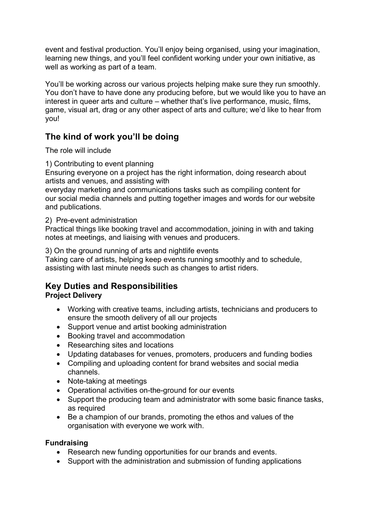event and festival production. You'll enjoy being organised, using your imagination, learning new things, and you'll feel confident working under your own initiative, as well as working as part of a team.

You'll be working across our various projects helping make sure they run smoothly. You don't have to have done any producing before, but we would like you to have an interest in queer arts and culture – whether that's live performance, music, films, game, visual art, drag or any other aspect of arts and culture; we'd like to hear from you!

# **The kind of work you'll be doing**

The role will include

1) Contributing to event planning

Ensuring everyone on a project has the right information, doing research about artists and venues, and assisting with

everyday marketing and communications tasks such as compiling content for our social media channels and putting together images and words for our website and publications.

#### 2) Pre-event administration

Practical things like booking travel and accommodation, joining in with and taking notes at meetings, and liaising with venues and producers.

3) On the ground running of arts and nightlife events

Taking care of artists, helping keep events running smoothly and to schedule, assisting with last minute needs such as changes to artist riders.

# **Key Duties and Responsibilities**

#### **Project Delivery**

- Working with creative teams, including artists, technicians and producers to ensure the smooth delivery of all our projects
- Support venue and artist booking administration
- Booking travel and accommodation
- Researching sites and locations
- Updating databases for venues, promoters, producers and funding bodies
- Compiling and uploading content for brand websites and social media channels.
- Note-taking at meetings
- Operational activities on-the-ground for our events
- Support the producing team and administrator with some basic finance tasks, as required
- Be a champion of our brands, promoting the ethos and values of the organisation with everyone we work with.

#### **Fundraising**

- Research new funding opportunities for our brands and events.
- Support with the administration and submission of funding applications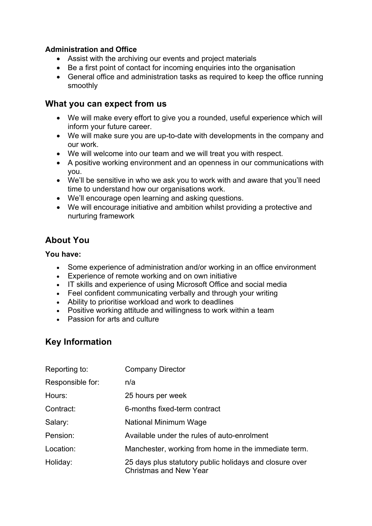#### **Administration and Office**

- Assist with the archiving our events and project materials
- Be a first point of contact for incoming enquiries into the organisation
- General office and administration tasks as required to keep the office running smoothly

### **What you can expect from us**

- We will make every effort to give you a rounded, useful experience which will inform your future career.
- We will make sure you are up-to-date with developments in the company and our work.
- We will welcome into our team and we will treat you with respect.
- A positive working environment and an openness in our communications with you.
- We'll be sensitive in who we ask you to work with and aware that you'll need time to understand how our organisations work.
- We'll encourage open learning and asking questions.
- We will encourage initiative and ambition whilst providing a protective and nurturing framework

# **About You**

#### **You have:**

- Some experience of administration and/or working in an office environment
- Experience of remote working and on own initiative
- IT skills and experience of using Microsoft Office and social media
- Feel confident communicating verbally and through your writing
- Ability to prioritise workload and work to deadlines
- Positive working attitude and willingness to work within a team
- Passion for arts and culture

# **Key Information**

| Reporting to:    | <b>Company Director</b>                                                                  |
|------------------|------------------------------------------------------------------------------------------|
| Responsible for: | n/a                                                                                      |
| Hours:           | 25 hours per week                                                                        |
| Contract:        | 6-months fixed-term contract                                                             |
| Salary:          | National Minimum Wage                                                                    |
| Pension:         | Available under the rules of auto-enrolment                                              |
| Location:        | Manchester, working from home in the immediate term.                                     |
| Holiday:         | 25 days plus statutory public holidays and closure over<br><b>Christmas and New Year</b> |